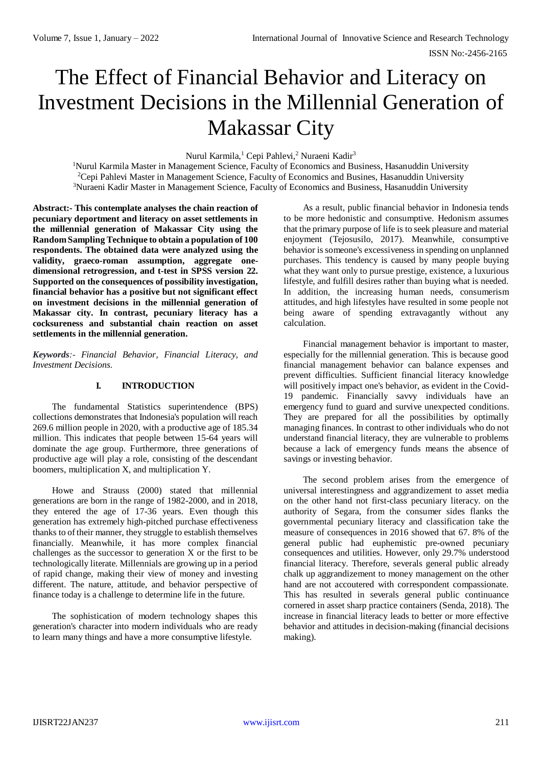# The Effect of Financial Behavior and Literacy on Investment Decisions in the Millennial Generation of Makassar City

Nurul Karmila,<sup>1</sup> Cepi Pahlevi,<sup>2</sup> Nuraeni Kadir<sup>3</sup>

<sup>1</sup>Nurul Karmila Master in Management Science, Faculty of Economics and Business, Hasanuddin University <sup>2</sup>Cepi Pahlevi Master in Management Science, Faculty of Economics and Busines, Hasanuddin University <sup>3</sup>Nuraeni Kadir Master in Management Science, Faculty of Economics and Business, Hasanuddin University

**Abstract:- This contemplate analyses the chain reaction of pecuniary deportment and literacy on asset settlements in the millennial generation of Makassar City using the Random Sampling Technique to obtain a population of 100 respondents. The obtained data were analyzed using the validity, graeco-roman assumption, aggregate onedimensional retrogression, and t-test in SPSS version 22. Supported on the consequences of possibility investigation, financial behavior has a positive but not significant effect on investment decisions in the millennial generation of Makassar city. In contrast, pecuniary literacy has a cocksureness and substantial chain reaction on asset settlements in the millennial generation.**

*Keywords:- Financial Behavior, Financial Literacy, and Investment Decisions.*

# **I. INTRODUCTION**

The fundamental Statistics superintendence (BPS) collections demonstrates that Indonesia's population will reach 269.6 million people in 2020, with a productive age of 185.34 million. This indicates that people between 15-64 years will dominate the age group. Furthermore, three generations of productive age will play a role, consisting of the descendant boomers, multiplication X, and multiplication Y.

Howe and Strauss (2000) stated that millennial generations are born in the range of 1982-2000, and in 2018, they entered the age of 17-36 years. Even though this generation has extremely high-pitched purchase effectiveness thanks to of their manner, they struggle to establish themselves financially. Meanwhile, it has more complex financial challenges as the successor to generation X or the first to be technologically literate. Millennials are growing up in a period of rapid change, making their view of money and investing different. The nature, attitude, and behavior perspective of finance today is a challenge to determine life in the future.

The sophistication of modern technology shapes this generation's character into modern individuals who are ready to learn many things and have a more consumptive lifestyle.

As a result, public financial behavior in Indonesia tends to be more hedonistic and consumptive. Hedonism assumes that the primary purpose of life is to seek pleasure and material enjoyment (Tejosusilo, 2017). Meanwhile, consumptive behavior is someone's excessiveness in spending on unplanned purchases. This tendency is caused by many people buying what they want only to pursue prestige, existence, a luxurious lifestyle, and fulfill desires rather than buying what is needed. In addition, the increasing human needs, consumerism attitudes, and high lifestyles have resulted in some people not being aware of spending extravagantly without any calculation.

Financial management behavior is important to master, especially for the millennial generation. This is because good financial management behavior can balance expenses and prevent difficulties. Sufficient financial literacy knowledge will positively impact one's behavior, as evident in the Covid-19 pandemic. Financially savvy individuals have an emergency fund to guard and survive unexpected conditions. They are prepared for all the possibilities by optimally managing finances. In contrast to other individuals who do not understand financial literacy, they are vulnerable to problems because a lack of emergency funds means the absence of savings or investing behavior.

The second problem arises from the emergence of universal interestingness and aggrandizement to asset media on the other hand not first-class pecuniary literacy. on the authority of Segara, from the consumer sides flanks the governmental pecuniary literacy and classification take the measure of consequences in 2016 showed that 67. 8% of the general public had euphemistic pre-owned pecuniary consequences and utilities. However, only 29.7% understood financial literacy. Therefore, severals general public already chalk up aggrandizement to money management on the other hand are not accoutered with correspondent compassionate. This has resulted in severals general public continuance cornered in asset sharp practice containers (Senda, 2018). The increase in financial literacy leads to better or more effective behavior and attitudes in decision-making (financial decisions making).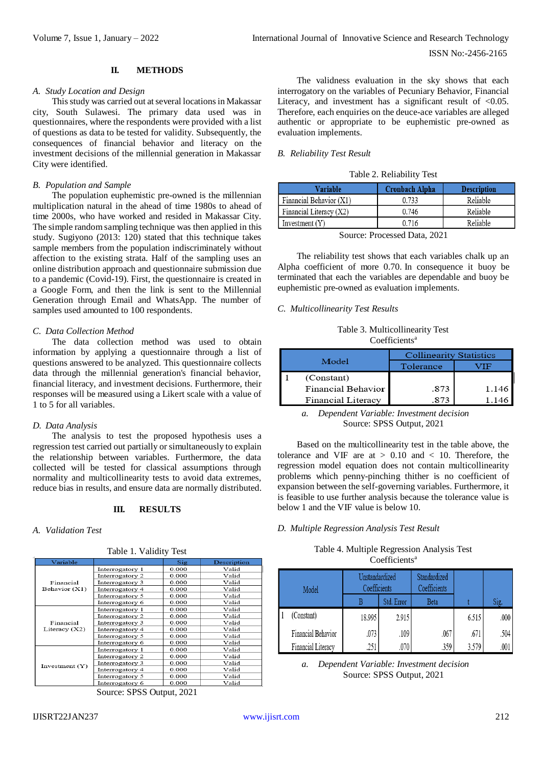# **II. METHODS**

### *A. Study Location and Design*

This study was carried out at several locations in Makassar city, South Sulawesi. The primary data used was in questionnaires, where the respondents were provided with a list of questions as data to be tested for validity. Subsequently, the consequences of financial behavior and literacy on the investment decisions of the millennial generation in Makassar City were identified.

#### *B. Population and Sample*

The population euphemistic pre-owned is the millennian multiplication natural in the ahead of time 1980s to ahead of time 2000s, who have worked and resided in Makassar City. The simple random sampling technique was then applied in this study. Sugiyono (2013: 120) stated that this technique takes sample members from the population indiscriminately without affection to the existing strata. Half of the sampling uses an online distribution approach and questionnaire submission due to a pandemic (Covid-19). First, the questionnaire is created in a Google Form, and then the link is sent to the Millennial Generation through Email and WhatsApp. The number of samples used amounted to 100 respondents.

## *C. Data Collection Method*

The data collection method was used to obtain information by applying a questionnaire through a list of questions answered to be analyzed. This questionnaire collects data through the millennial generation's financial behavior, financial literacy, and investment decisions. Furthermore, their responses will be measured using a Likert scale with a value of 1 to 5 for all variables.

#### *D. Data Analysis*

The analysis to test the proposed hypothesis uses a regression test carried out partially or simultaneously to explain the relationship between variables. Furthermore, the data collected will be tested for classical assumptions through normality and multicollinearity tests to avoid data extremes, reduce bias in results, and ensure data are normally distributed.

# **III. RESULTS**

Table 1. Validity Test

#### *A. Validation Test*

| Variable                     |                 | Sig   | Description |
|------------------------------|-----------------|-------|-------------|
|                              | Interrogatory 1 | 0.000 | Valid       |
|                              | Interrogatory 2 | 0.000 | Valid       |
| Financial                    | Interrogatory 3 | 0.000 | Valid       |
| Behavior (X1)                | Interrogatory 4 | 0.000 | Valid       |
|                              | Interrogatory 5 | 0.000 | Valid       |
|                              | Interrogatory 6 | 0.000 | Valid       |
|                              | Interrogatory 1 | 0.000 | Valid       |
|                              | Interrogatory 2 | 0.000 | Valid       |
| Financial<br>Literacy $(X2)$ | Interrogatory 3 | 0.000 | Valid       |
|                              | Interrogatory 4 | 0.000 | Valid       |
|                              | Interrogatory 5 | 0.000 | Valid       |
|                              | Interrogatory 6 | 0.000 | Valid       |
|                              | Interrogatory 1 | 0.000 | Valid       |
|                              | Interrogatory 2 | 0.000 | Valid       |
| Investment $(Y)$             | Interrogatory 3 | 0.000 | Valid       |
|                              | Interrogatory 4 | 0.000 | Valid       |
|                              | Interrogatory 5 | 0.000 | Valid       |
|                              | Interrogatory 6 | 0.000 | Valid       |

Source: SPSS Output, 2021

#### *B. Reliability Test Result*

| Variable                | <b>Cronbach Alpha</b> | <b>Description</b> |
|-------------------------|-----------------------|--------------------|
| Financial Behavior (X1) | 0.733                 | Reliable           |
| Financial Literacy (X2) | 0.746                 | Reliable           |
| Investment $(Y)$        | 0.716                 | Reliable           |

Source: Processed Data, 2021

The reliability test shows that each variables chalk up an Alpha coefficient of more 0.70. In consequence it buoy be terminated that each the variables are dependable and buoy be euphemistic pre-owned as evaluation implements.

## *C. Multicollinearity Test Results*

Table 3. Multicollinearity Test Coefficients<sup>a</sup>

| Model |                    | <b>Collinearity Statistics</b> |      |  |  |
|-------|--------------------|--------------------------------|------|--|--|
|       |                    | Tolerance                      |      |  |  |
|       | (Constant)         |                                |      |  |  |
|       | Financial Behavior | .873                           | 1.14 |  |  |
|       | Financial Literacy |                                |      |  |  |

*a. Dependent Variable: Investment decision* Source: SPSS Output, 2021

Based on the multicollinearity test in the table above, the tolerance and VIF are at  $> 0.10$  and  $< 10$ . Therefore, the regression model equation does not contain multicollinearity problems which penny-pinching thither is no coefficient of expansion between the self-governing variables. Furthermore, it is feasible to use further analysis because the tolerance value is below 1 and the VIF value is below 10.

# *D. Multiple Regression Analysis Test Result*

Table 4. Multiple Regression Analysis Test Coefficients<sup>a</sup>

| Model |                    | <b>LInstandardized</b><br>Coefficients |            | Standardized<br>Coefficients |       |      |
|-------|--------------------|----------------------------------------|------------|------------------------------|-------|------|
|       |                    | В                                      | Std. Error | Beta                         |       | Sig. |
|       | (Constant)         | 18.995                                 | 2.915      |                              | 6.515 | .000 |
|       | Financial Behavior | .073                                   | .109       | .067                         | .671  | .504 |
|       | Financial Literacy |                                        |            | .359                         |       | .001 |

*a. Dependent Variable: Investment decision* Source: SPSS Output, 2021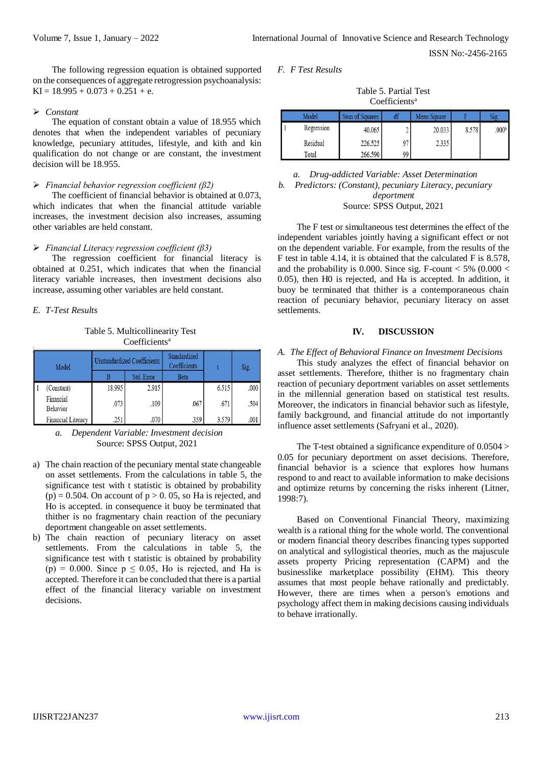ISSN No:-2456-2165

The following regression equation is obtained supported on the consequences of aggregate retrogression psychoanalysis: KI =  $18.995 + 0.073 + 0.251 + e$ .

## *Constant*

The equation of constant obtain a value of 18.955 which denotes that when the independent variables of pecuniary knowledge, pecuniary attitudes, lifestyle, and kith and kin qualification do not change or are constant, the investment decision will be 18.955.

#### *Financial behavior regression coefficient (β2)*

The coefficient of financial behavior is obtained at 0.073, which indicates that when the financial attitude variable increases, the investment decision also increases, assuming other variables are held constant.

## *Financial Literacy regression coefficient (β3)*

The regression coefficient for financial literacy is obtained at 0.251, which indicates that when the financial literacy variable increases, then investment decisions also increase, assuming other variables are held constant.

# *E. T-Test Results*

Table 5. Multicollinearity Test Coefficients<sup>a</sup>

| Model                 | <b>Unstandardized Coefficients</b> |            | Standardized<br>Coefficients |       | Sig. |
|-----------------------|------------------------------------|------------|------------------------------|-------|------|
|                       |                                    | Std. Error | <b>Beta</b>                  |       |      |
| (Constant)            | 18.995                             | 2.915      |                              | 6.515 | .000 |
| Financial<br>Behavior | .073                               | .109       | .067                         | .671  | .504 |
| Financial Literacy    | .251                               | .070       | .359                         | 3.579 | .001 |

*a. Dependent Variable: Investment decision* Source: SPSS Output, 2021

- a) The chain reaction of the pecuniary mental state changeable on asset settlements. From the calculations in table 5, the significance test with t statistic is obtained by probability  $(p) = 0.504$ . On account of  $p > 0.05$ , so Ha is rejected, and Ho is accepted. in consequence it buoy be terminated that thither is no fragmentary chain reaction of the pecuniary deportment changeable on asset settlements.
- b) The chain reaction of pecuniary literacy on asset settlements. From the calculations in table 5, the significance test with t statistic is obtained by probability (p) = 0.000. Since  $p \le 0.05$ , Ho is rejected, and Ha is accepted. Therefore it can be concluded that there is a partial effect of the financial literacy variable on investment decisions.

*F. F Test Results*

Table 5. Partial Test Coefficients<sup>a</sup>

| Model      | Sum of Squares |    | Mean Square |       | 21g               |
|------------|----------------|----|-------------|-------|-------------------|
| Regression | 40.065         | ے  | 20.033      | 8.578 | .000 <sup>b</sup> |
| Residual   | 226.525        | 97 | 2.335       |       |                   |
| Total      | 266.590        | 99 |             |       |                   |

*a. Drug-addicted Variable: Asset Determination b. Predictors: (Constant), pecuniary Literacy, pecuniary deportment* Source: SPSS Output, 2021

The F test or simultaneous test determines the effect of the independent variables jointly having a significant effect or not on the dependent variable. For example, from the results of the F test in table 4.14, it is obtained that the calculated F is 8.578, and the probability is 0.000. Since sig. F-count  $< 5\%$  (0.000  $<$ 0.05), then H0 is rejected, and Ha is accepted. In addition, it buoy be terminated that thither is a contemporaneous chain reaction of pecuniary behavior, pecuniary literacy on asset settlements.

# **IV. DISCUSSION**

## *A. The Effect of Behavioral Finance on Investment Decisions*

This study analyzes the effect of financial behavior on asset settlements. Therefore, thither is no fragmentary chain reaction of pecuniary deportment variables on asset settlements in the millennial generation based on statistical test results. Moreover, the indicators in financial behavior such as lifestyle, family background, and financial attitude do not importantly influence asset settlements (Safryani et al., 2020).

The T-test obtained a significance expenditure of 0.0504 > 0.05 for pecuniary deportment on asset decisions. Therefore, financial behavior is a science that explores how humans respond to and react to available information to make decisions and optimize returns by concerning the risks inherent (Litner, 1998:7).

Based on Conventional Financial Theory, maximizing wealth is a rational thing for the whole world. The conventional or modern financial theory describes financing types supported on analytical and syllogistical theories, much as the majuscule assets property Pricing representation (CAPM) and the businesslike marketplace possibility (EHM). This theory assumes that most people behave rationally and predictably. However, there are times when a person's emotions and psychology affect them in making decisions causing individuals to behave irrationally.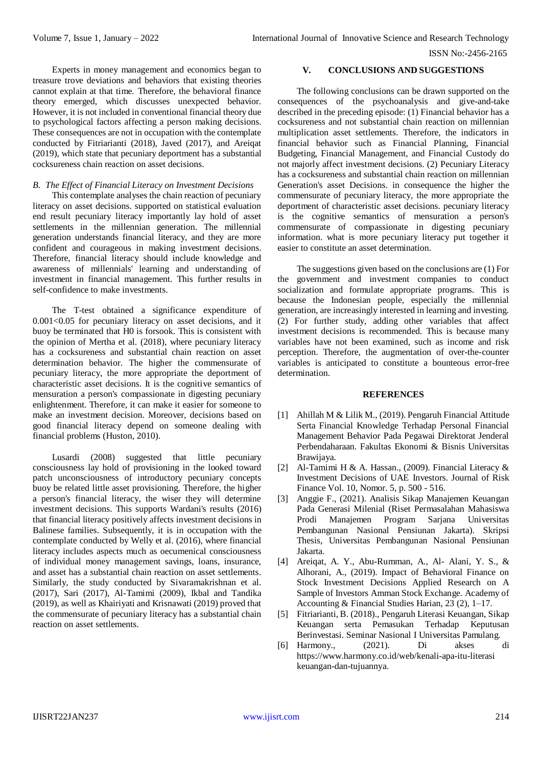ISSN No:-2456-2165

Experts in money management and economics began to treasure trove deviations and behaviors that existing theories cannot explain at that time. Therefore, the behavioral finance theory emerged, which discusses unexpected behavior. However, it is not included in conventional financial theory due to psychological factors affecting a person making decisions. These consequences are not in occupation with the contemplate conducted by Fitriarianti (2018), Javed (2017), and Areiqat (2019), which state that pecuniary deportment has a substantial cocksureness chain reaction on asset decisions.

# *B. The Effect of Financial Literacy on Investment Decisions*

This contemplate analyses the chain reaction of pecuniary literacy on asset decisions. supported on statistical evaluation end result pecuniary literacy importantly lay hold of asset settlements in the millennian generation. The millennial generation understands financial literacy, and they are more confident and courageous in making investment decisions. Therefore, financial literacy should include knowledge and awareness of millennials' learning and understanding of investment in financial management. This further results in self-confidence to make investments.

The T-test obtained a significance expenditure of 0.001<0.05 for pecuniary literacy on asset decisions, and it buoy be terminated that H0 is forsook. This is consistent with the opinion of Mertha et al. (2018), where pecuniary literacy has a cocksureness and substantial chain reaction on asset determination behavior. The higher the commensurate of pecuniary literacy, the more appropriate the deportment of characteristic asset decisions. It is the cognitive semantics of mensuration a person's compassionate in digesting pecuniary enlightenment. Therefore, it can make it easier for someone to make an investment decision. Moreover, decisions based on good financial literacy depend on someone dealing with financial problems (Huston, 2010).

Lusardi (2008) suggested that little pecuniary consciousness lay hold of provisioning in the looked toward patch unconsciousness of introductory pecuniary concepts buoy be related little asset provisioning. Therefore, the higher a person's financial literacy, the wiser they will determine investment decisions. This supports Wardani's results (2016) that financial literacy positively affects investment decisions in Balinese families. Subsequently, it is in occupation with the contemplate conducted by Welly et al. (2016), where financial literacy includes aspects much as oecumenical consciousness of individual money management savings, loans, insurance, and asset has a substantial chain reaction on asset settlements. Similarly, the study conducted by Sivaramakrishnan et al. (2017), Sari (2017), Al-Tamimi (2009), Ikbal and Tandika (2019), as well as Khairiyati and Krisnawati (2019) proved that the commensurate of pecuniary literacy has a substantial chain reaction on asset settlements.

# **V. CONCLUSIONS AND SUGGESTIONS**

The following conclusions can be drawn supported on the consequences of the psychoanalysis and give-and-take described in the preceding episode: (1) Financial behavior has a cocksureness and not substantial chain reaction on millennian multiplication asset settlements. Therefore, the indicators in financial behavior such as Financial Planning, Financial Budgeting, Financial Management, and Financial Custody do not majorly affect investment decisions. (2) Pecuniary Literacy has a cocksureness and substantial chain reaction on millennian Generation's asset Decisions. in consequence the higher the commensurate of pecuniary literacy, the more appropriate the deportment of characteristic asset decisions. pecuniary literacy is the cognitive semantics of mensuration a person's commensurate of compassionate in digesting pecuniary information. what is more pecuniary literacy put together it easier to constitute an asset determination.

The suggestions given based on the conclusions are (1) For the government and investment companies to conduct socialization and formulate appropriate programs. This is because the Indonesian people, especially the millennial generation, are increasingly interested in learning and investing. (2) For further study, adding other variables that affect investment decisions is recommended. This is because many variables have not been examined, such as income and risk perception. Therefore, the augmentation of over-the-counter variables is anticipated to constitute a bounteous error-free determination.

# **REFERENCES**

- [1] Ahillah M & Lilik M., (2019). Pengaruh Financial Attitude Serta Financial Knowledge Terhadap Personal Financial Management Behavior Pada Pegawai Direktorat Jenderal Perbendaharaan. Fakultas Ekonomi & Bisnis Universitas Brawijaya.
- [2] Al-Tamimi H & A. Hassan., (2009). Financial Literacy & Investment Decisions of UAE Investors. Journal of Risk Finance Vol. 10, Nomor. 5, p. 500 - 516.
- [3] Anggie F., (2021). Analisis Sikap Manajemen Keuangan Pada Generasi Milenial (Riset Permasalahan Mahasiswa Prodi Manajemen Program Sarjana Universitas Pembangunan Nasional Pensiunan Jakarta). Skripsi Thesis, Universitas Pembangunan Nasional Pensiunan Jakarta.
- [4] Areiqat, A. Y., Abu-Rumman, A., Al- Alani, Y. S., & Alhorani, A., (2019). Impact of Behavioral Finance on Stock Investment Decisions Applied Research on A Sample of Investors Amman Stock Exchange. Academy of Accounting & Financial Studies Harian, 23 (2), 1–17.
- [5] Fitriarianti, B. (2018)., Pengaruh Literasi Keuangan, Sikap Keuangan serta Pemasukan Terhadap Keputusan Berinvestasi. Seminar Nasional I Universitas Pamulang.
- [6] Harmony., (2021). Di akses di [https://www.harmony.co.id/web/kenali-apa-itu-literasi](https://www.harmony.co.id/web/kenali-apa-itu-literasi%20keuangan-) [keuangan-d](https://www.harmony.co.id/web/kenali-apa-itu-literasi%20keuangan-)an-tujuannya.